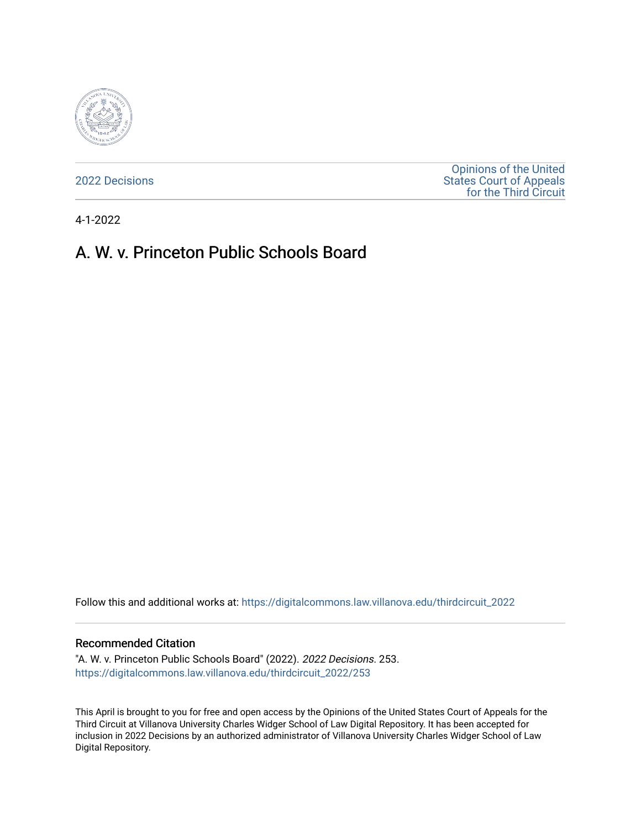

[2022 Decisions](https://digitalcommons.law.villanova.edu/thirdcircuit_2022)

[Opinions of the United](https://digitalcommons.law.villanova.edu/thirdcircuit)  [States Court of Appeals](https://digitalcommons.law.villanova.edu/thirdcircuit)  [for the Third Circuit](https://digitalcommons.law.villanova.edu/thirdcircuit) 

4-1-2022

# A. W. v. Princeton Public Schools Board

Follow this and additional works at: [https://digitalcommons.law.villanova.edu/thirdcircuit\\_2022](https://digitalcommons.law.villanova.edu/thirdcircuit_2022?utm_source=digitalcommons.law.villanova.edu%2Fthirdcircuit_2022%2F253&utm_medium=PDF&utm_campaign=PDFCoverPages) 

#### Recommended Citation

"A. W. v. Princeton Public Schools Board" (2022). 2022 Decisions. 253. [https://digitalcommons.law.villanova.edu/thirdcircuit\\_2022/253](https://digitalcommons.law.villanova.edu/thirdcircuit_2022/253?utm_source=digitalcommons.law.villanova.edu%2Fthirdcircuit_2022%2F253&utm_medium=PDF&utm_campaign=PDFCoverPages)

This April is brought to you for free and open access by the Opinions of the United States Court of Appeals for the Third Circuit at Villanova University Charles Widger School of Law Digital Repository. It has been accepted for inclusion in 2022 Decisions by an authorized administrator of Villanova University Charles Widger School of Law Digital Repository.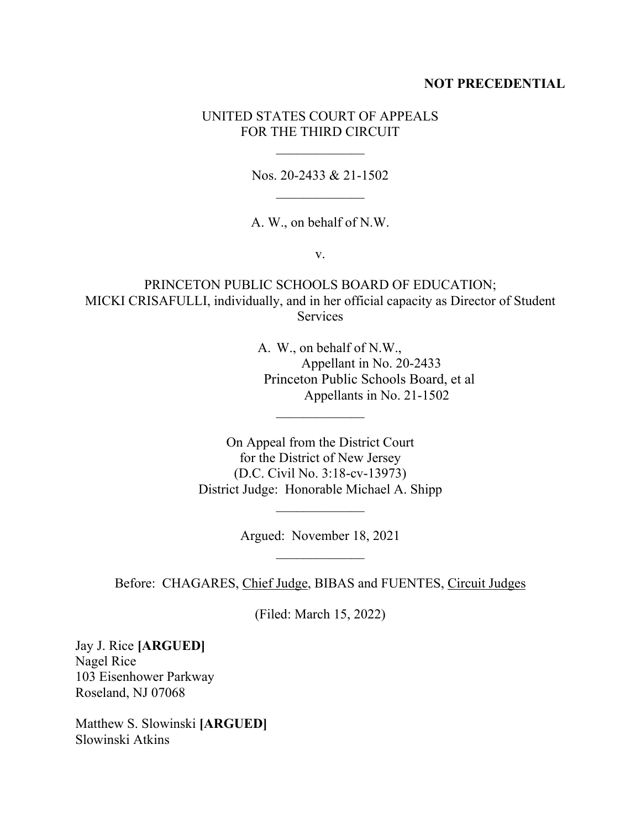### **NOT PRECEDENTIAL**

# UNITED STATES COURT OF APPEALS FOR THE THIRD CIRCUIT

 $\frac{1}{2}$ 

Nos. 20-2433 & 21-1502  $\frac{1}{2}$ 

A. W., on behalf of N.W.

v.

PRINCETON PUBLIC SCHOOLS BOARD OF EDUCATION; MICKI CRISAFULLI, individually, and in her official capacity as Director of Student Services

> A. W., on behalf of N.W., Appellant in No. 20-2433 Princeton Public Schools Board, et al Appellants in No. 21-1502

On Appeal from the District Court for the District of New Jersey (D.C. Civil No. 3:18-cv-13973) District Judge: Honorable Michael A. Shipp

 $\overline{\phantom{a}}$ 

Argued: November 18, 2021  $\frac{1}{2}$ 

 $\overline{\phantom{a}}$ 

Before: CHAGARES, Chief Judge, BIBAS and FUENTES, Circuit Judges

(Filed: March 15, 2022)

Jay J. Rice **[ARGUED]** Nagel Rice 103 Eisenhower Parkway Roseland, NJ 07068

Matthew S. Slowinski **[ARGUED]** Slowinski Atkins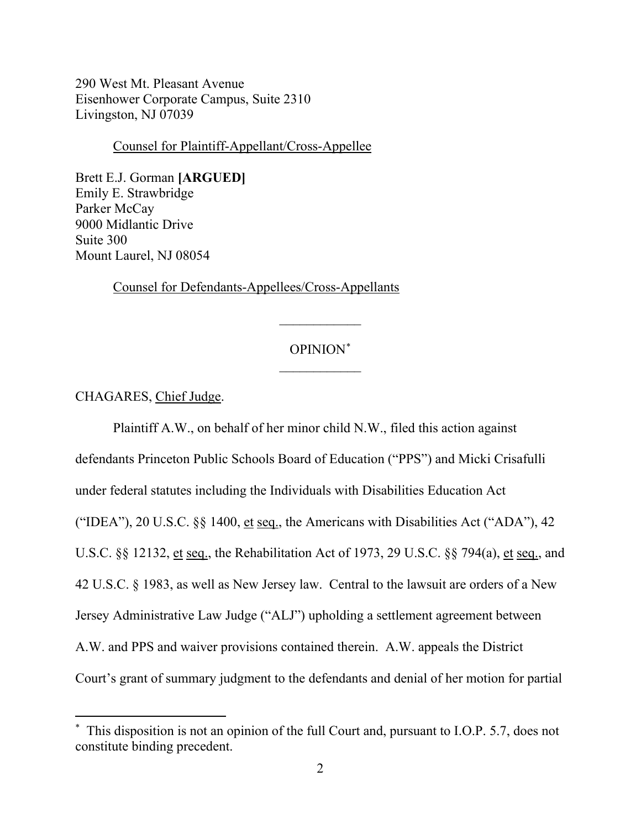290 West Mt. Pleasant Avenue Eisenhower Corporate Campus, Suite 2310 Livingston, NJ 07039

Counsel for Plaintiff-Appellant/Cross-Appellee

Brett E.J. Gorman **[ARGUED]** Emily E. Strawbridge Parker McCay 9000 Midlantic Drive Suite 300 Mount Laurel, NJ 08054

Counsel for Defendants-Appellees/Cross-Appellants

# OPINION\*  $\frac{1}{2}$

 $\overline{\phantom{a}}$ 

### CHAGARES, Chief Judge.

Plaintiff A.W., on behalf of her minor child N.W., filed this action against defendants Princeton Public Schools Board of Education ("PPS") and Micki Crisafulli under federal statutes including the Individuals with Disabilities Education Act ("IDEA"), 20 U.S.C. §§ 1400, et seq., the Americans with Disabilities Act ("ADA"), 42 U.S.C. §§ 12132, et seq., the Rehabilitation Act of 1973, 29 U.S.C. §§ 794(a), et seq., and 42 U.S.C. § 1983, as well as New Jersey law. Central to the lawsuit are orders of a New Jersey Administrative Law Judge ("ALJ") upholding a settlement agreement between A.W. and PPS and waiver provisions contained therein. A.W. appeals the District Court's grant of summary judgment to the defendants and denial of her motion for partial

<sup>\*</sup> This disposition is not an opinion of the full Court and, pursuant to I.O.P. 5.7, does not constitute binding precedent.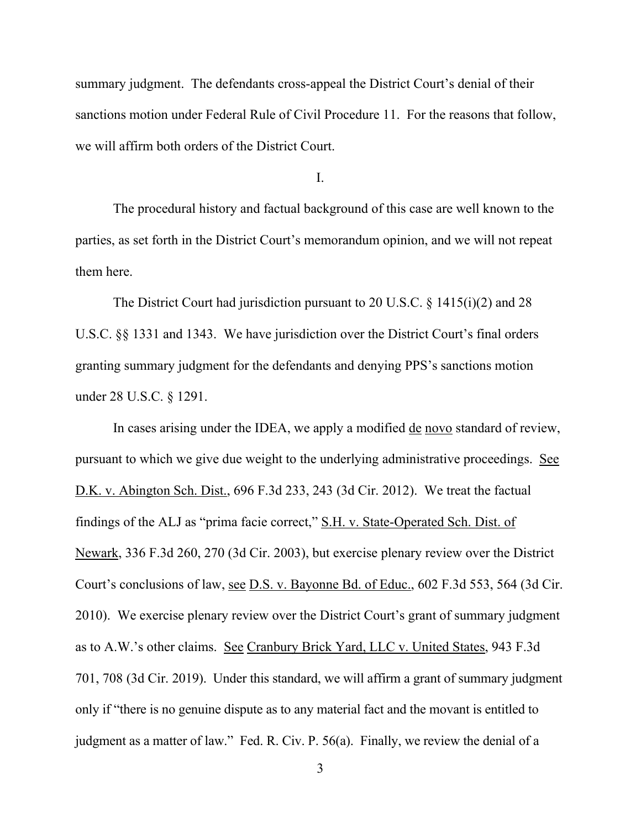summary judgment. The defendants cross-appeal the District Court's denial of their sanctions motion under Federal Rule of Civil Procedure 11. For the reasons that follow, we will affirm both orders of the District Court.

I.

The procedural history and factual background of this case are well known to the parties, as set forth in the District Court's memorandum opinion, and we will not repeat them here.

The District Court had jurisdiction pursuant to 20 U.S.C. § 1415(i)(2) and 28 U.S.C. §§ 1331 and 1343. We have jurisdiction over the District Court's final orders granting summary judgment for the defendants and denying PPS's sanctions motion under 28 U.S.C. § 1291.

In cases arising under the IDEA, we apply a modified de novo standard of review, pursuant to which we give due weight to the underlying administrative proceedings. See D.K. v. Abington Sch. Dist., 696 F.3d 233, 243 (3d Cir. 2012). We treat the factual findings of the ALJ as "prima facie correct," S.H. v. State-Operated Sch. Dist. of Newark, 336 F.3d 260, 270 (3d Cir. 2003), but exercise plenary review over the District Court's conclusions of law, see D.S. v. Bayonne Bd. of Educ., 602 F.3d 553, 564 (3d Cir. 2010). We exercise plenary review over the District Court's grant of summary judgment as to A.W.'s other claims. See Cranbury Brick Yard, LLC v. United States, 943 F.3d 701, 708 (3d Cir. 2019). Under this standard, we will affirm a grant of summary judgment only if "there is no genuine dispute as to any material fact and the movant is entitled to judgment as a matter of law." Fed. R. Civ. P. 56(a). Finally, we review the denial of a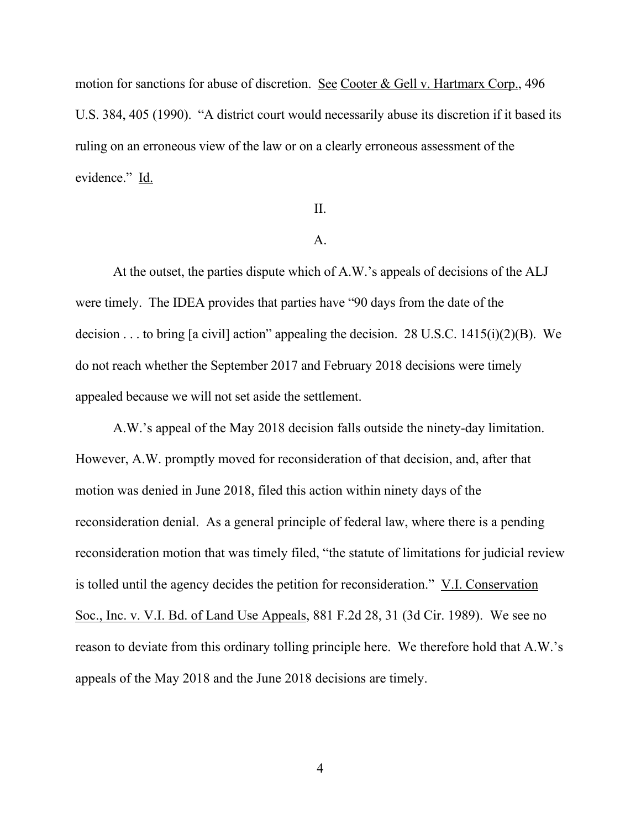motion for sanctions for abuse of discretion. See Cooter & Gell v. Hartmarx Corp., 496 U.S. 384, 405 (1990). "A district court would necessarily abuse its discretion if it based its ruling on an erroneous view of the law or on a clearly erroneous assessment of the evidence." Id.

# II.

### A.

At the outset, the parties dispute which of A.W.'s appeals of decisions of the ALJ were timely. The IDEA provides that parties have "90 days from the date of the decision . . . to bring [a civil] action" appealing the decision. 28 U.S.C. 1415(i)(2)(B). We do not reach whether the September 2017 and February 2018 decisions were timely appealed because we will not set aside the settlement.

A.W.'s appeal of the May 2018 decision falls outside the ninety-day limitation. However, A.W. promptly moved for reconsideration of that decision, and, after that motion was denied in June 2018, filed this action within ninety days of the reconsideration denial. As a general principle of federal law, where there is a pending reconsideration motion that was timely filed, "the statute of limitations for judicial review is tolled until the agency decides the petition for reconsideration." V.I. Conservation Soc., Inc. v. V.I. Bd. of Land Use Appeals, 881 F.2d 28, 31 (3d Cir. 1989). We see no reason to deviate from this ordinary tolling principle here. We therefore hold that A.W.'s appeals of the May 2018 and the June 2018 decisions are timely.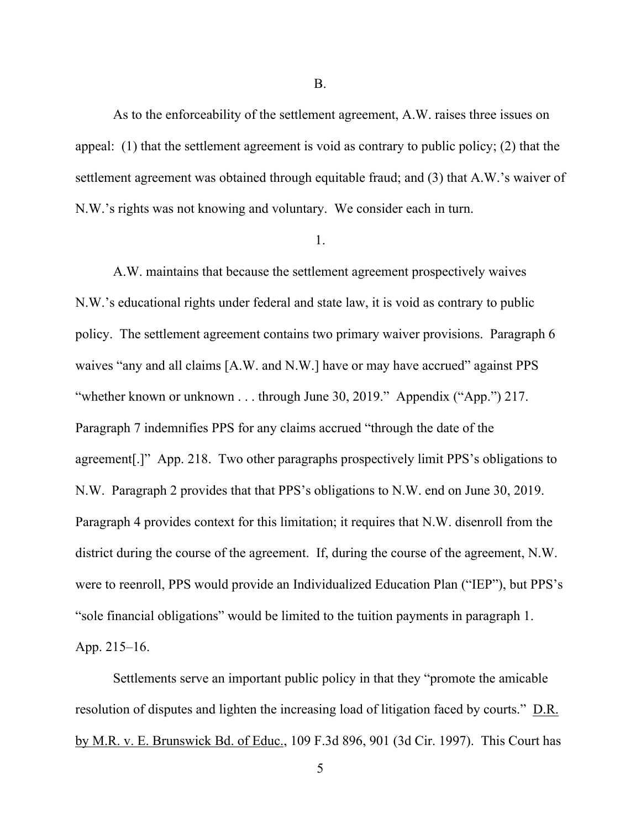As to the enforceability of the settlement agreement, A.W. raises three issues on appeal: (1) that the settlement agreement is void as contrary to public policy; (2) that the settlement agreement was obtained through equitable fraud; and (3) that A.W.'s waiver of N.W.'s rights was not knowing and voluntary. We consider each in turn.

#### 1.

A.W. maintains that because the settlement agreement prospectively waives N.W.'s educational rights under federal and state law, it is void as contrary to public policy. The settlement agreement contains two primary waiver provisions. Paragraph 6 waives "any and all claims [A.W. and N.W.] have or may have accrued" against PPS "whether known or unknown . . . through June 30, 2019." Appendix ("App.") 217. Paragraph 7 indemnifies PPS for any claims accrued "through the date of the agreement[.]" App. 218. Two other paragraphs prospectively limit PPS's obligations to N.W. Paragraph 2 provides that that PPS's obligations to N.W. end on June 30, 2019. Paragraph 4 provides context for this limitation; it requires that N.W. disenroll from the district during the course of the agreement. If, during the course of the agreement, N.W. were to reenroll, PPS would provide an Individualized Education Plan ("IEP"), but PPS's "sole financial obligations" would be limited to the tuition payments in paragraph 1. App. 215–16.

Settlements serve an important public policy in that they "promote the amicable resolution of disputes and lighten the increasing load of litigation faced by courts." D.R. by M.R. v. E. Brunswick Bd. of Educ., 109 F.3d 896, 901 (3d Cir. 1997). This Court has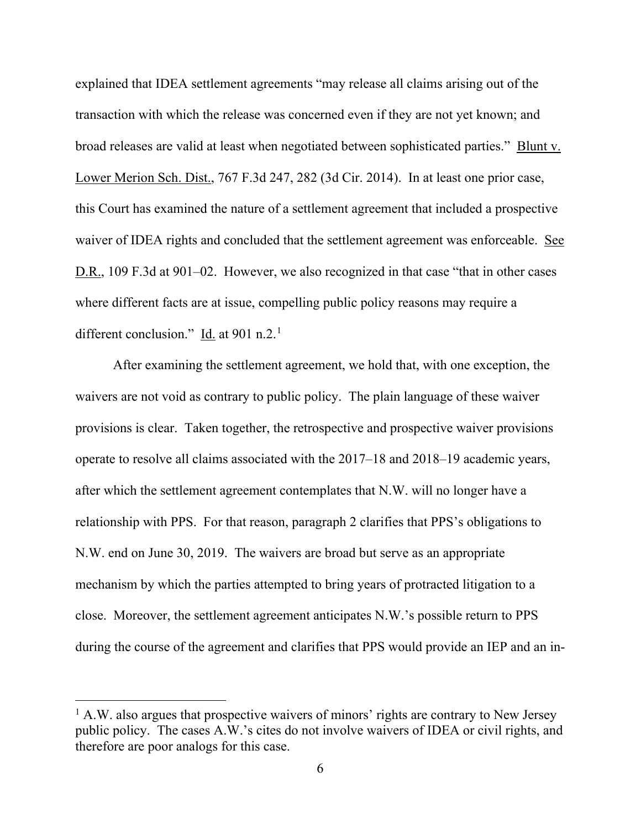explained that IDEA settlement agreements "may release all claims arising out of the transaction with which the release was concerned even if they are not yet known; and broad releases are valid at least when negotiated between sophisticated parties." Blunt v. Lower Merion Sch. Dist., 767 F.3d 247, 282 (3d Cir. 2014). In at least one prior case, this Court has examined the nature of a settlement agreement that included a prospective waiver of IDEA rights and concluded that the settlement agreement was enforceable. See D.R., 109 F.3d at 901–02. However, we also recognized in that case "that in other cases where different facts are at issue, compelling public policy reasons may require a different conclusion."  $\underline{Id}$  at 901 n.2.<sup>1</sup>

After examining the settlement agreement, we hold that, with one exception, the waivers are not void as contrary to public policy. The plain language of these waiver provisions is clear. Taken together, the retrospective and prospective waiver provisions operate to resolve all claims associated with the 2017–18 and 2018–19 academic years, after which the settlement agreement contemplates that N.W. will no longer have a relationship with PPS. For that reason, paragraph 2 clarifies that PPS's obligations to N.W. end on June 30, 2019. The waivers are broad but serve as an appropriate mechanism by which the parties attempted to bring years of protracted litigation to a close. Moreover, the settlement agreement anticipates N.W.'s possible return to PPS during the course of the agreement and clarifies that PPS would provide an IEP and an in-

 $<sup>1</sup>$  A.W. also argues that prospective waivers of minors' rights are contrary to New Jersey</sup> public policy. The cases A.W.'s cites do not involve waivers of IDEA or civil rights, and therefore are poor analogs for this case.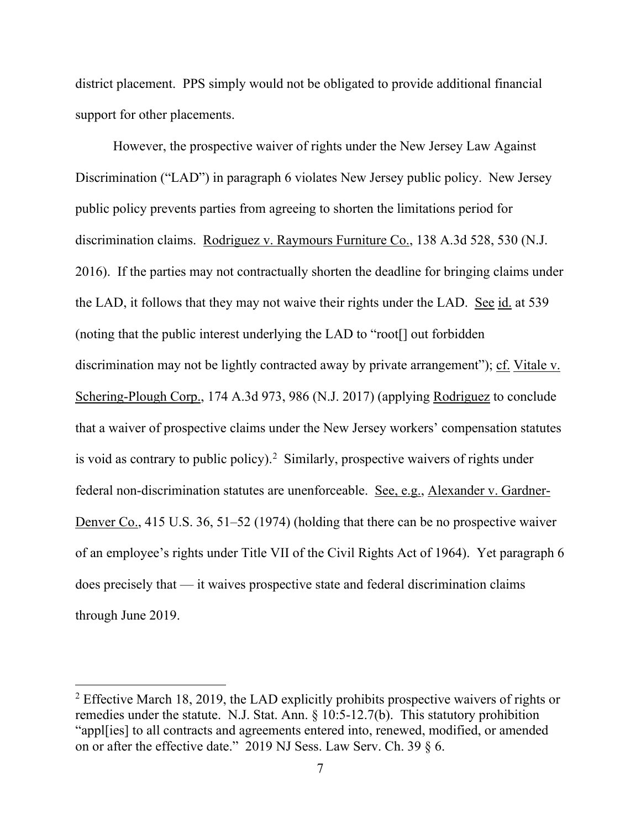district placement. PPS simply would not be obligated to provide additional financial support for other placements.

However, the prospective waiver of rights under the New Jersey Law Against Discrimination ("LAD") in paragraph 6 violates New Jersey public policy. New Jersey public policy prevents parties from agreeing to shorten the limitations period for discrimination claims. Rodriguez v. Raymours Furniture Co., 138 A.3d 528, 530 (N.J. 2016). If the parties may not contractually shorten the deadline for bringing claims under the LAD, it follows that they may not waive their rights under the LAD. See id. at 539 (noting that the public interest underlying the LAD to "root[] out forbidden discrimination may not be lightly contracted away by private arrangement"); cf. Vitale v. Schering-Plough Corp., 174 A.3d 973, 986 (N.J. 2017) (applying Rodriguez to conclude that a waiver of prospective claims under the New Jersey workers' compensation statutes is void as contrary to public policy).<sup>2</sup> Similarly, prospective waivers of rights under federal non-discrimination statutes are unenforceable. See, e.g., Alexander v. Gardner-Denver Co., 415 U.S. 36, 51–52 (1974) (holding that there can be no prospective waiver of an employee's rights under Title VII of the Civil Rights Act of 1964). Yet paragraph 6 does precisely that — it waives prospective state and federal discrimination claims through June 2019.

<sup>&</sup>lt;sup>2</sup> Effective March 18, 2019, the LAD explicitly prohibits prospective waivers of rights or remedies under the statute. N.J. Stat. Ann. § 10:5-12.7(b). This statutory prohibition "appl[ies] to all contracts and agreements entered into, renewed, modified, or amended on or after the effective date." 2019 NJ Sess. Law Serv. Ch. 39 § 6.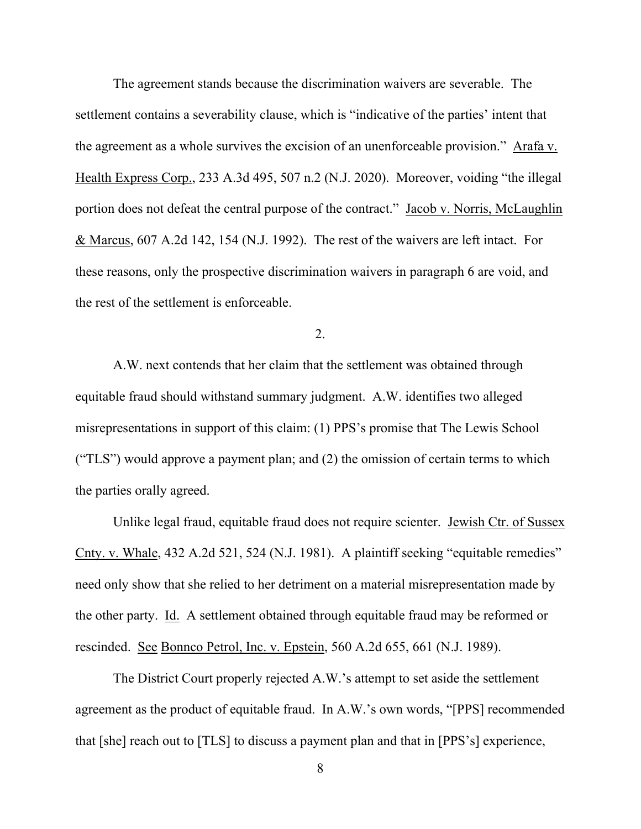The agreement stands because the discrimination waivers are severable. The settlement contains a severability clause, which is "indicative of the parties' intent that the agreement as a whole survives the excision of an unenforceable provision." Arafa v. Health Express Corp., 233 A.3d 495, 507 n.2 (N.J. 2020). Moreover, voiding "the illegal portion does not defeat the central purpose of the contract." Jacob v. Norris, McLaughlin & Marcus, 607 A.2d 142, 154 (N.J. 1992). The rest of the waivers are left intact. For these reasons, only the prospective discrimination waivers in paragraph 6 are void, and the rest of the settlement is enforceable.

2.

A.W. next contends that her claim that the settlement was obtained through equitable fraud should withstand summary judgment. A.W. identifies two alleged misrepresentations in support of this claim: (1) PPS's promise that The Lewis School ("TLS") would approve a payment plan; and (2) the omission of certain terms to which the parties orally agreed.

Unlike legal fraud, equitable fraud does not require scienter. Jewish Ctr. of Sussex Cnty. v. Whale, 432 A.2d 521, 524 (N.J. 1981). A plaintiff seeking "equitable remedies" need only show that she relied to her detriment on a material misrepresentation made by the other party. Id. A settlement obtained through equitable fraud may be reformed or rescinded. See Bonnco Petrol, Inc. v. Epstein, 560 A.2d 655, 661 (N.J. 1989).

The District Court properly rejected A.W.'s attempt to set aside the settlement agreement as the product of equitable fraud. In A.W.'s own words, "[PPS] recommended that [she] reach out to [TLS] to discuss a payment plan and that in [PPS's] experience,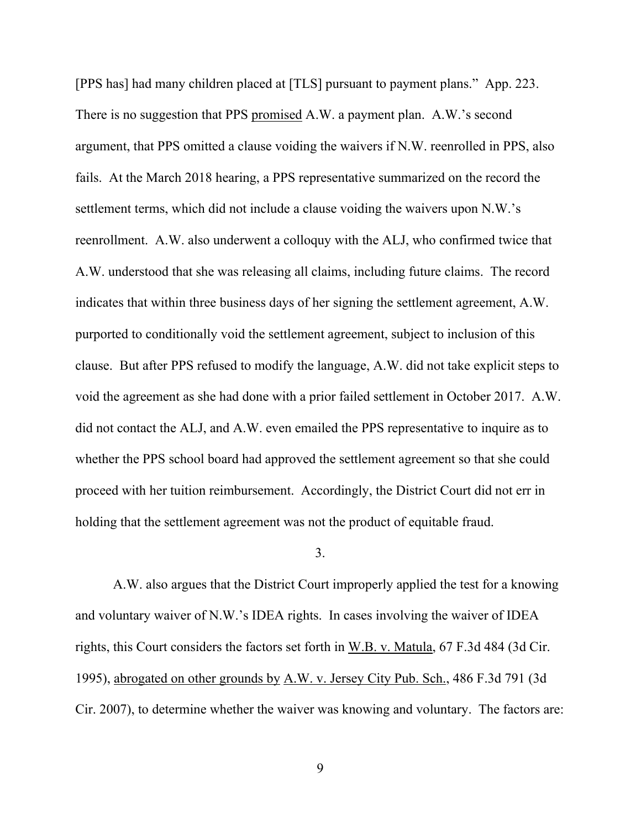[PPS has] had many children placed at [TLS] pursuant to payment plans." App. 223. There is no suggestion that PPS promised A.W. a payment plan. A.W.'s second argument, that PPS omitted a clause voiding the waivers if N.W. reenrolled in PPS, also fails. At the March 2018 hearing, a PPS representative summarized on the record the settlement terms, which did not include a clause voiding the waivers upon N.W.'s reenrollment. A.W. also underwent a colloquy with the ALJ, who confirmed twice that A.W. understood that she was releasing all claims, including future claims. The record indicates that within three business days of her signing the settlement agreement, A.W. purported to conditionally void the settlement agreement, subject to inclusion of this clause. But after PPS refused to modify the language, A.W. did not take explicit steps to void the agreement as she had done with a prior failed settlement in October 2017. A.W. did not contact the ALJ, and A.W. even emailed the PPS representative to inquire as to whether the PPS school board had approved the settlement agreement so that she could proceed with her tuition reimbursement. Accordingly, the District Court did not err in holding that the settlement agreement was not the product of equitable fraud.

#### 3.

A.W. also argues that the District Court improperly applied the test for a knowing and voluntary waiver of N.W.'s IDEA rights. In cases involving the waiver of IDEA rights, this Court considers the factors set forth in W.B. v. Matula, 67 F.3d 484 (3d Cir. 1995), abrogated on other grounds by A.W. v. Jersey City Pub. Sch., 486 F.3d 791 (3d Cir. 2007), to determine whether the waiver was knowing and voluntary. The factors are: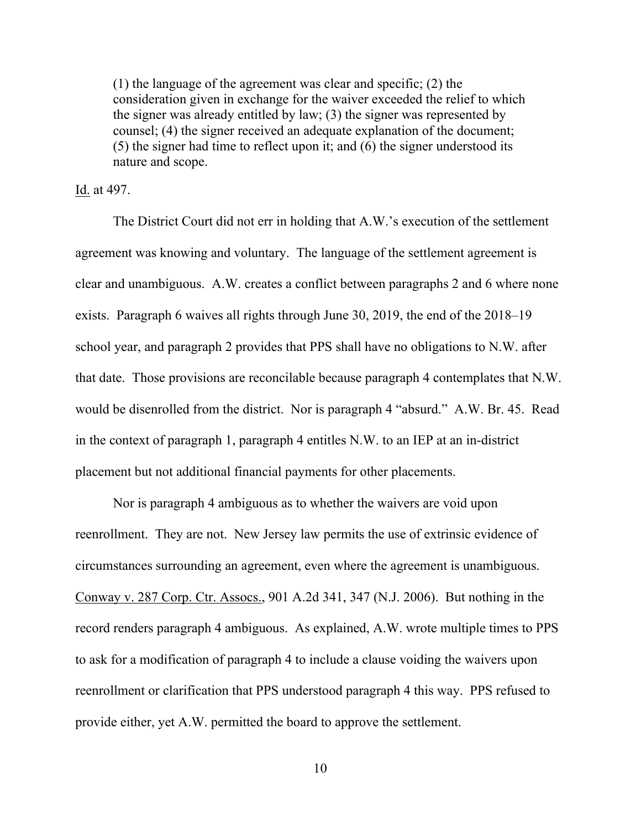(1) the language of the agreement was clear and specific; (2) the consideration given in exchange for the waiver exceeded the relief to which the signer was already entitled by law; (3) the signer was represented by counsel; (4) the signer received an adequate explanation of the document; (5) the signer had time to reflect upon it; and (6) the signer understood its nature and scope.

Id. at 497.

The District Court did not err in holding that A.W.'s execution of the settlement agreement was knowing and voluntary. The language of the settlement agreement is clear and unambiguous. A.W. creates a conflict between paragraphs 2 and 6 where none exists. Paragraph 6 waives all rights through June 30, 2019, the end of the 2018–19 school year, and paragraph 2 provides that PPS shall have no obligations to N.W. after that date. Those provisions are reconcilable because paragraph 4 contemplates that N.W. would be disenrolled from the district. Nor is paragraph 4 "absurd." A.W. Br. 45. Read in the context of paragraph 1, paragraph 4 entitles N.W. to an IEP at an in-district placement but not additional financial payments for other placements.

Nor is paragraph 4 ambiguous as to whether the waivers are void upon reenrollment. They are not. New Jersey law permits the use of extrinsic evidence of circumstances surrounding an agreement, even where the agreement is unambiguous. Conway v. 287 Corp. Ctr. Assocs., 901 A.2d 341, 347 (N.J. 2006). But nothing in the record renders paragraph 4 ambiguous. As explained, A.W. wrote multiple times to PPS to ask for a modification of paragraph 4 to include a clause voiding the waivers upon reenrollment or clarification that PPS understood paragraph 4 this way. PPS refused to provide either, yet A.W. permitted the board to approve the settlement.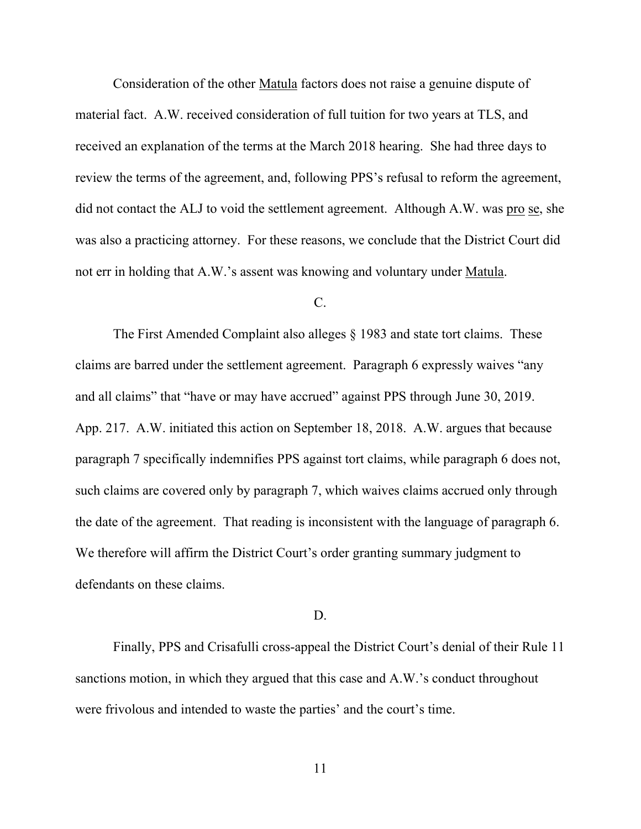Consideration of the other Matula factors does not raise a genuine dispute of material fact. A.W. received consideration of full tuition for two years at TLS, and received an explanation of the terms at the March 2018 hearing. She had three days to review the terms of the agreement, and, following PPS's refusal to reform the agreement, did not contact the ALJ to void the settlement agreement. Although A.W. was pro se, she was also a practicing attorney. For these reasons, we conclude that the District Court did not err in holding that A.W.'s assent was knowing and voluntary under Matula.

### C.

The First Amended Complaint also alleges § 1983 and state tort claims. These claims are barred under the settlement agreement. Paragraph 6 expressly waives "any and all claims" that "have or may have accrued" against PPS through June 30, 2019. App. 217. A.W. initiated this action on September 18, 2018. A.W. argues that because paragraph 7 specifically indemnifies PPS against tort claims, while paragraph 6 does not, such claims are covered only by paragraph 7, which waives claims accrued only through the date of the agreement. That reading is inconsistent with the language of paragraph 6. We therefore will affirm the District Court's order granting summary judgment to defendants on these claims.

#### D.

Finally, PPS and Crisafulli cross-appeal the District Court's denial of their Rule 11 sanctions motion, in which they argued that this case and A.W.'s conduct throughout were frivolous and intended to waste the parties' and the court's time.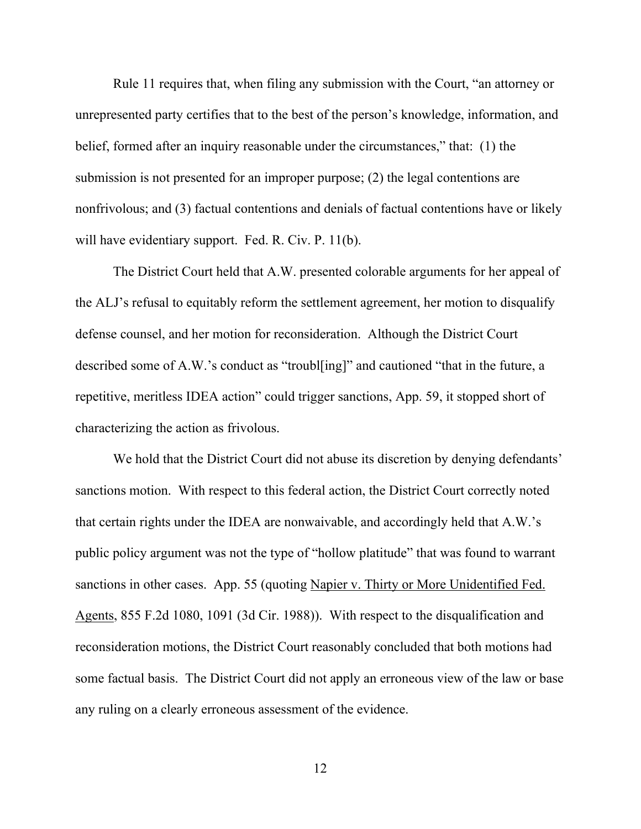Rule 11 requires that, when filing any submission with the Court, "an attorney or unrepresented party certifies that to the best of the person's knowledge, information, and belief, formed after an inquiry reasonable under the circumstances," that: (1) the submission is not presented for an improper purpose; (2) the legal contentions are nonfrivolous; and (3) factual contentions and denials of factual contentions have or likely will have evidentiary support. Fed. R. Civ. P. 11(b).

The District Court held that A.W. presented colorable arguments for her appeal of the ALJ's refusal to equitably reform the settlement agreement, her motion to disqualify defense counsel, and her motion for reconsideration. Although the District Court described some of A.W.'s conduct as "troubl[ing]" and cautioned "that in the future, a repetitive, meritless IDEA action" could trigger sanctions, App. 59, it stopped short of characterizing the action as frivolous.

We hold that the District Court did not abuse its discretion by denying defendants' sanctions motion. With respect to this federal action, the District Court correctly noted that certain rights under the IDEA are nonwaivable, and accordingly held that A.W.'s public policy argument was not the type of "hollow platitude" that was found to warrant sanctions in other cases. App. 55 (quoting Napier v. Thirty or More Unidentified Fed. Agents, 855 F.2d 1080, 1091 (3d Cir. 1988)). With respect to the disqualification and reconsideration motions, the District Court reasonably concluded that both motions had some factual basis. The District Court did not apply an erroneous view of the law or base any ruling on a clearly erroneous assessment of the evidence.